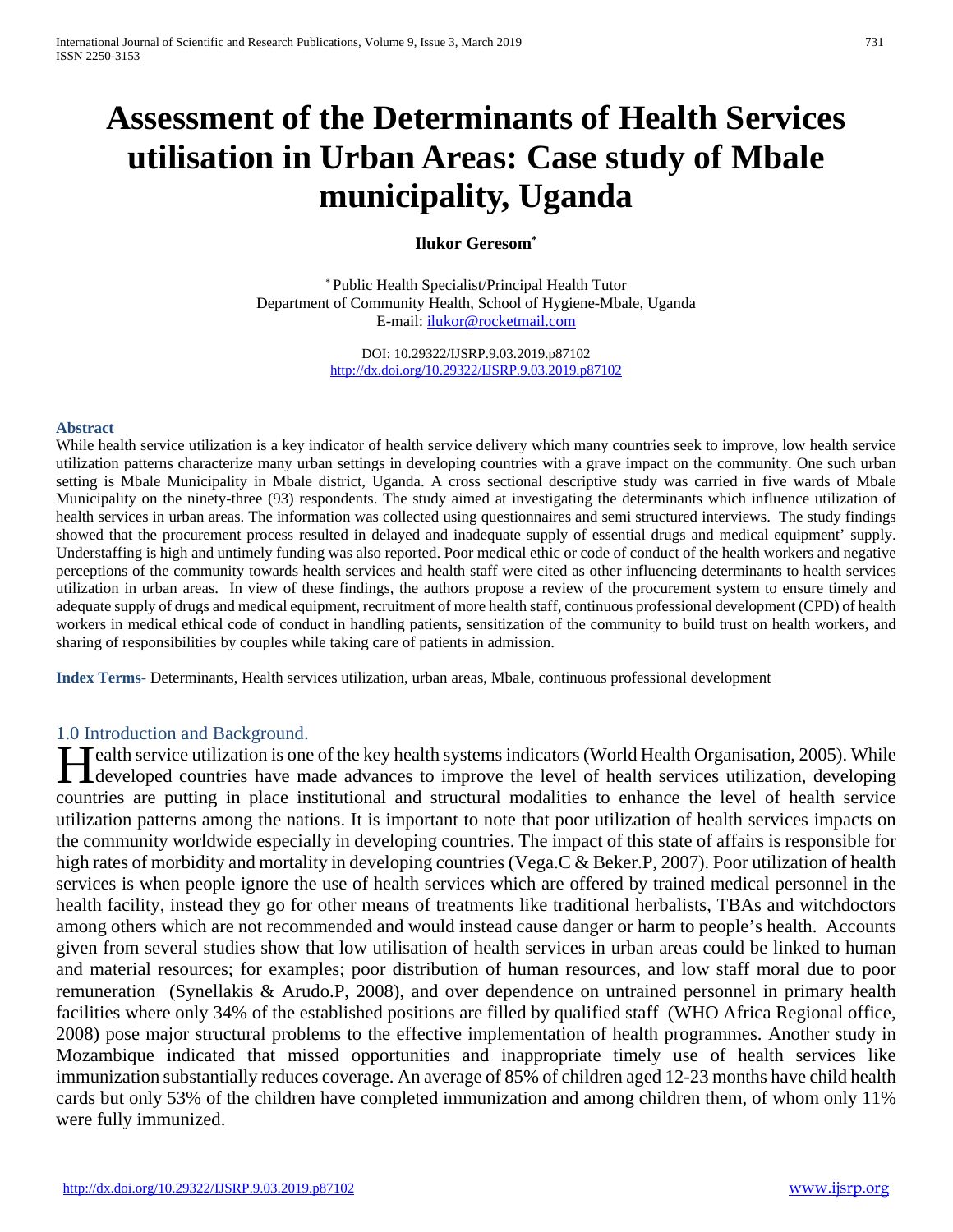# **Assessment of the Determinants of Health Services utilisation in Urban Areas: Case study of Mbale municipality, Uganda**

## **Ilukor Geresom\***

\* Public Health Specialist/Principal Health Tutor Department of Community Health, School of Hygiene-Mbale, Uganda E-mail: [ilukor@rocketmail.com](mailto:ilukor@rocketmail.com)

> DOI: 10.29322/IJSRP.9.03.2019.p87102 <http://dx.doi.org/10.29322/IJSRP.9.03.2019.p87102>

#### **Abstract**

While health service utilization is a key indicator of health service delivery which many countries seek to improve, low health service utilization patterns characterize many urban settings in developing countries with a grave impact on the community. One such urban setting is Mbale Municipality in Mbale district, Uganda. A cross sectional descriptive study was carried in five wards of Mbale Municipality on the ninety-three (93) respondents. The study aimed at investigating the determinants which influence utilization of health services in urban areas. The information was collected using questionnaires and semi structured interviews. The study findings showed that the procurement process resulted in delayed and inadequate supply of essential drugs and medical equipment' supply. Understaffing is high and untimely funding was also reported. Poor medical ethic or code of conduct of the health workers and negative perceptions of the community towards health services and health staff were cited as other influencing determinants to health services utilization in urban areas. In view of these findings, the authors propose a review of the procurement system to ensure timely and adequate supply of drugs and medical equipment, recruitment of more health staff, continuous professional development (CPD) of health workers in medical ethical code of conduct in handling patients, sensitization of the community to build trust on health workers, and sharing of responsibilities by couples while taking care of patients in admission.

**Index Terms**- Determinants, Health services utilization, urban areas, Mbale, continuous professional development

#### 1.0 Introduction and Background.

Tealth service utilization is one of the key health systems indicators (World Health Organisation, 2005). While Health service utilization is one of the key health systems indicators (World Health Organisation, 2005). While<br>developed countries have made advances to improve the level of health services utilization, developing countries are putting in place institutional and structural modalities to enhance the level of health service utilization patterns among the nations. It is important to note that poor utilization of health services impacts on the community worldwide especially in developing countries. The impact of this state of affairs is responsible for high rates of morbidity and mortality in developing countries (Vega.C & Beker.P, 2007). Poor utilization of health services is when people ignore the use of health services which are offered by trained medical personnel in the health facility, instead they go for other means of treatments like traditional herbalists, TBAs and witchdoctors among others which are not recommended and would instead cause danger or harm to people's health. Accounts given from several studies show that low utilisation of health services in urban areas could be linked to human and material resources; for examples; poor distribution of human resources, and low staff moral due to poor remuneration (Synellakis & Arudo.P, 2008), and over dependence on untrained personnel in primary health facilities where only 34% of the established positions are filled by qualified staff (WHO Africa Regional office, 2008) pose major structural problems to the effective implementation of health programmes. Another study in Mozambique indicated that missed opportunities and inappropriate timely use of health services like immunization substantially reduces coverage. An average of 85% of children aged 12-23 months have child health cards but only 53% of the children have completed immunization and among children them, of whom only 11% were fully immunized.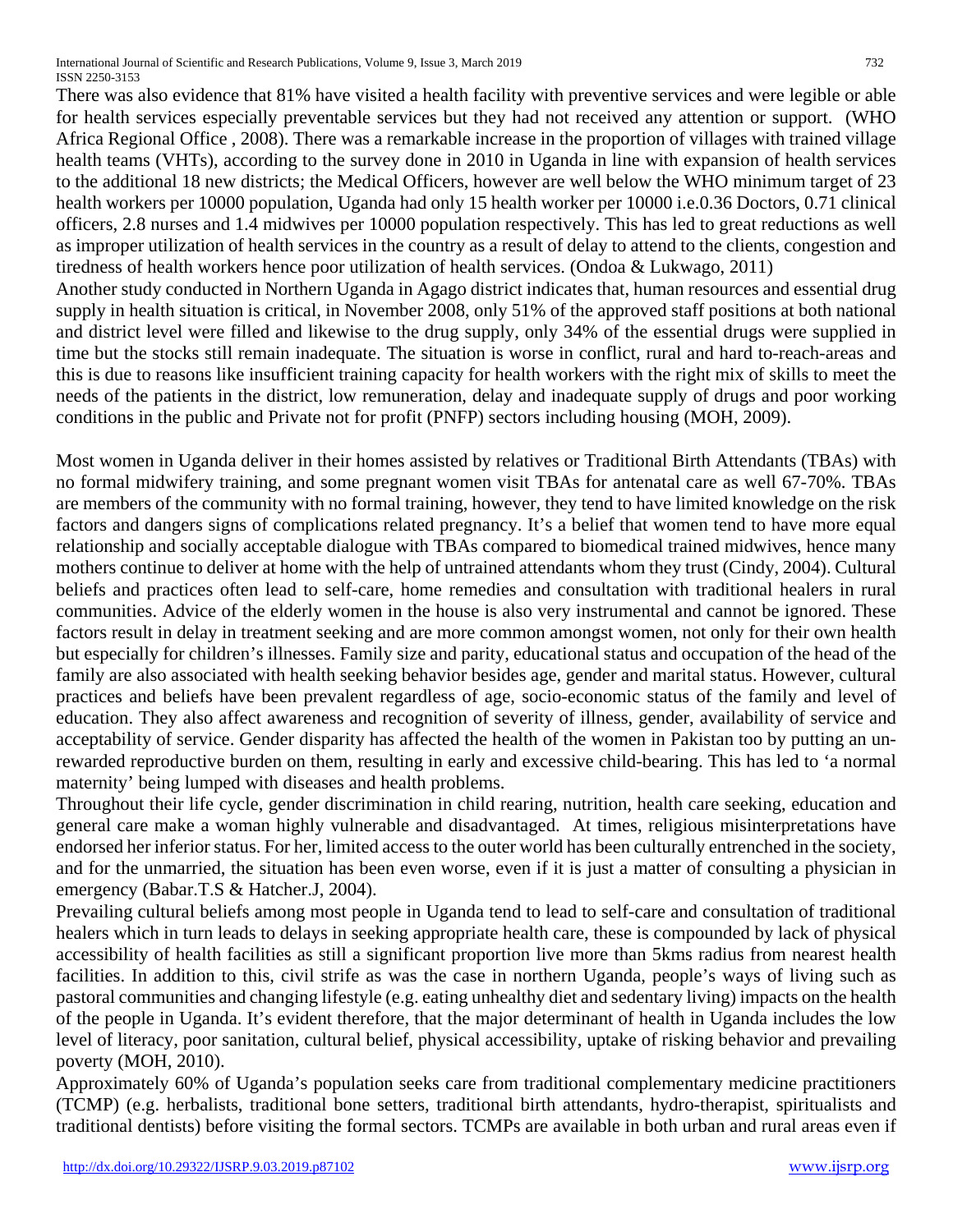International Journal of Scientific and Research Publications, Volume 9, Issue 3, March 2019 732 ISSN 2250-3153

There was also evidence that 81% have visited a health facility with preventive services and were legible or able for health services especially preventable services but they had not received any attention or support. (WHO Africa Regional Office , 2008). There was a remarkable increase in the proportion of villages with trained village health teams (VHTs), according to the survey done in 2010 in Uganda in line with expansion of health services to the additional 18 new districts; the Medical Officers, however are well below the WHO minimum target of 23 health workers per 10000 population, Uganda had only 15 health worker per 10000 i.e.0.36 Doctors, 0.71 clinical officers, 2.8 nurses and 1.4 midwives per 10000 population respectively. This has led to great reductions as well as improper utilization of health services in the country as a result of delay to attend to the clients, congestion and tiredness of health workers hence poor utilization of health services. (Ondoa & Lukwago, 2011) Another study conducted in Northern Uganda in Agago district indicates that, human resources and essential drug

supply in health situation is critical, in November 2008, only 51% of the approved staff positions at both national and district level were filled and likewise to the drug supply, only 34% of the essential drugs were supplied in time but the stocks still remain inadequate. The situation is worse in conflict, rural and hard to-reach-areas and this is due to reasons like insufficient training capacity for health workers with the right mix of skills to meet the needs of the patients in the district, low remuneration, delay and inadequate supply of drugs and poor working conditions in the public and Private not for profit (PNFP) sectors including housing (MOH, 2009).

Most women in Uganda deliver in their homes assisted by relatives or Traditional Birth Attendants (TBAs) with no formal midwifery training, and some pregnant women visit TBAs for antenatal care as well 67-70%. TBAs are members of the community with no formal training, however, they tend to have limited knowledge on the risk factors and dangers signs of complications related pregnancy. It's a belief that women tend to have more equal relationship and socially acceptable dialogue with TBAs compared to biomedical trained midwives, hence many mothers continue to deliver at home with the help of untrained attendants whom they trust (Cindy, 2004). Cultural beliefs and practices often lead to self-care, home remedies and consultation with traditional healers in rural communities. Advice of the elderly women in the house is also very instrumental and cannot be ignored. These factors result in delay in treatment seeking and are more common amongst women, not only for their own health but especially for children's illnesses. Family size and parity, educational status and occupation of the head of the family are also associated with health seeking behavior besides age, gender and marital status. However, cultural practices and beliefs have been prevalent regardless of age, socio-economic status of the family and level of education. They also affect awareness and recognition of severity of illness, gender, availability of service and acceptability of service. Gender disparity has affected the health of the women in Pakistan too by putting an unrewarded reproductive burden on them, resulting in early and excessive child-bearing. This has led to 'a normal maternity' being lumped with diseases and health problems.

Throughout their life cycle, gender discrimination in child rearing, nutrition, health care seeking, education and general care make a woman highly vulnerable and disadvantaged. At times, religious misinterpretations have endorsed her inferior status. For her, limited access to the outer world has been culturally entrenched in the society, and for the unmarried, the situation has been even worse, even if it is just a matter of consulting a physician in emergency (Babar.T.S & Hatcher.J, 2004).

Prevailing cultural beliefs among most people in Uganda tend to lead to self-care and consultation of traditional healers which in turn leads to delays in seeking appropriate health care, these is compounded by lack of physical accessibility of health facilities as still a significant proportion live more than 5kms radius from nearest health facilities. In addition to this, civil strife as was the case in northern Uganda, people's ways of living such as pastoral communities and changing lifestyle (e.g. eating unhealthy diet and sedentary living) impacts on the health of the people in Uganda. It's evident therefore, that the major determinant of health in Uganda includes the low level of literacy, poor sanitation, cultural belief, physical accessibility, uptake of risking behavior and prevailing poverty (MOH, 2010).

Approximately 60% of Uganda's population seeks care from traditional complementary medicine practitioners (TCMP) (e.g. herbalists, traditional bone setters, traditional birth attendants, hydro-therapist, spiritualists and traditional dentists) before visiting the formal sectors. TCMPs are available in both urban and rural areas even if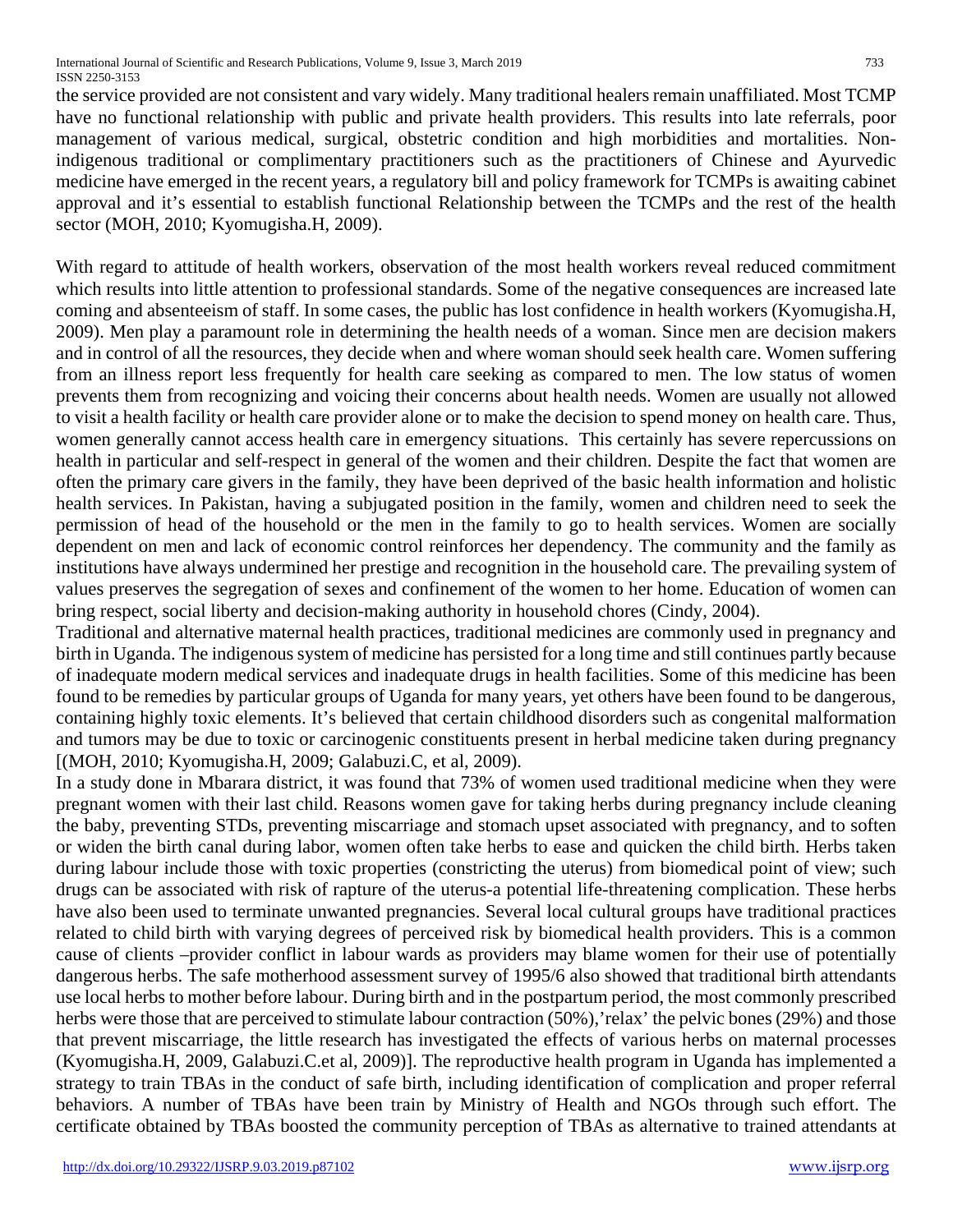the service provided are not consistent and vary widely. Many traditional healers remain unaffiliated. Most TCMP have no functional relationship with public and private health providers. This results into late referrals, poor management of various medical, surgical, obstetric condition and high morbidities and mortalities. Nonindigenous traditional or complimentary practitioners such as the practitioners of Chinese and Ayurvedic medicine have emerged in the recent years, a regulatory bill and policy framework for TCMPs is awaiting cabinet approval and it's essential to establish functional Relationship between the TCMPs and the rest of the health sector (MOH, 2010; Kyomugisha.H, 2009).

With regard to attitude of health workers, observation of the most health workers reveal reduced commitment which results into little attention to professional standards. Some of the negative consequences are increased late coming and absenteeism of staff. In some cases, the public has lost confidence in health workers (Kyomugisha.H, 2009). Men play a paramount role in determining the health needs of a woman. Since men are decision makers and in control of all the resources, they decide when and where woman should seek health care. Women suffering from an illness report less frequently for health care seeking as compared to men. The low status of women prevents them from recognizing and voicing their concerns about health needs. Women are usually not allowed to visit a health facility or health care provider alone or to make the decision to spend money on health care. Thus, women generally cannot access health care in emergency situations. This certainly has severe repercussions on health in particular and self-respect in general of the women and their children. Despite the fact that women are often the primary care givers in the family, they have been deprived of the basic health information and holistic health services. In Pakistan, having a subjugated position in the family, women and children need to seek the permission of head of the household or the men in the family to go to health services. Women are socially dependent on men and lack of economic control reinforces her dependency. The community and the family as institutions have always undermined her prestige and recognition in the household care. The prevailing system of values preserves the segregation of sexes and confinement of the women to her home. Education of women can bring respect, social liberty and decision-making authority in household chores (Cindy, 2004).

Traditional and alternative maternal health practices, traditional medicines are commonly used in pregnancy and birth in Uganda. The indigenous system of medicine has persisted for a long time and still continues partly because of inadequate modern medical services and inadequate drugs in health facilities. Some of this medicine has been found to be remedies by particular groups of Uganda for many years, yet others have been found to be dangerous, containing highly toxic elements. It's believed that certain childhood disorders such as congenital malformation and tumors may be due to toxic or carcinogenic constituents present in herbal medicine taken during pregnancy [(MOH, 2010; Kyomugisha.H, 2009; Galabuzi.C, et al, 2009).

In a study done in Mbarara district, it was found that 73% of women used traditional medicine when they were pregnant women with their last child. Reasons women gave for taking herbs during pregnancy include cleaning the baby, preventing STDs, preventing miscarriage and stomach upset associated with pregnancy, and to soften or widen the birth canal during labor, women often take herbs to ease and quicken the child birth. Herbs taken during labour include those with toxic properties (constricting the uterus) from biomedical point of view; such drugs can be associated with risk of rapture of the uterus-a potential life-threatening complication. These herbs have also been used to terminate unwanted pregnancies. Several local cultural groups have traditional practices related to child birth with varying degrees of perceived risk by biomedical health providers. This is a common cause of clients –provider conflict in labour wards as providers may blame women for their use of potentially dangerous herbs. The safe motherhood assessment survey of 1995/6 also showed that traditional birth attendants use local herbs to mother before labour. During birth and in the postpartum period, the most commonly prescribed herbs were those that are perceived to stimulate labour contraction (50%),'relax' the pelvic bones (29%) and those that prevent miscarriage, the little research has investigated the effects of various herbs on maternal processes (Kyomugisha.H, 2009, Galabuzi.C.et al, 2009)]. The reproductive health program in Uganda has implemented a strategy to train TBAs in the conduct of safe birth, including identification of complication and proper referral behaviors. A number of TBAs have been train by Ministry of Health and NGOs through such effort. The certificate obtained by TBAs boosted the community perception of TBAs as alternative to trained attendants at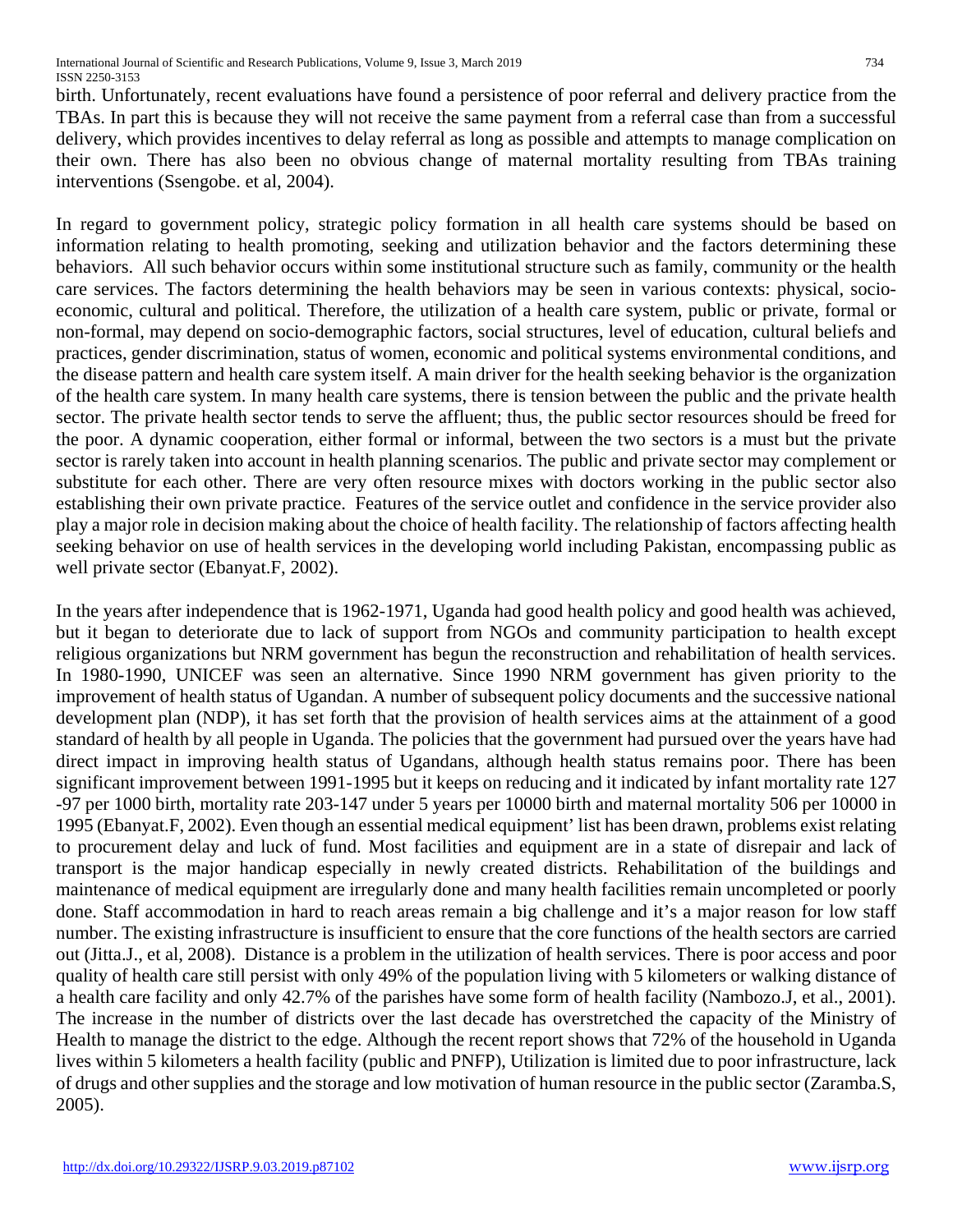birth. Unfortunately, recent evaluations have found a persistence of poor referral and delivery practice from the TBAs. In part this is because they will not receive the same payment from a referral case than from a successful delivery, which provides incentives to delay referral as long as possible and attempts to manage complication on their own. There has also been no obvious change of maternal mortality resulting from TBAs training interventions (Ssengobe. et al, 2004).

In regard to government policy, strategic policy formation in all health care systems should be based on information relating to health promoting, seeking and utilization behavior and the factors determining these behaviors. All such behavior occurs within some institutional structure such as family, community or the health care services. The factors determining the health behaviors may be seen in various contexts: physical, socioeconomic, cultural and political. Therefore, the utilization of a health care system, public or private, formal or non-formal, may depend on socio-demographic factors, social structures, level of education, cultural beliefs and practices, gender discrimination, status of women, economic and political systems environmental conditions, and the disease pattern and health care system itself. A main driver for the health seeking behavior is the organization of the health care system. In many health care systems, there is tension between the public and the private health sector. The private health sector tends to serve the affluent; thus, the public sector resources should be freed for the poor. A dynamic cooperation, either formal or informal, between the two sectors is a must but the private sector is rarely taken into account in health planning scenarios. The public and private sector may complement or substitute for each other. There are very often resource mixes with doctors working in the public sector also establishing their own private practice. Features of the service outlet and confidence in the service provider also play a major role in decision making about the choice of health facility. The relationship of factors affecting health seeking behavior on use of health services in the developing world including Pakistan, encompassing public as well private sector (Ebanyat.F, 2002).

In the years after independence that is 1962-1971, Uganda had good health policy and good health was achieved, but it began to deteriorate due to lack of support from NGOs and community participation to health except religious organizations but NRM government has begun the reconstruction and rehabilitation of health services. In 1980-1990, UNICEF was seen an alternative. Since 1990 NRM government has given priority to the improvement of health status of Ugandan. A number of subsequent policy documents and the successive national development plan (NDP), it has set forth that the provision of health services aims at the attainment of a good standard of health by all people in Uganda. The policies that the government had pursued over the years have had direct impact in improving health status of Ugandans, although health status remains poor. There has been significant improvement between 1991-1995 but it keeps on reducing and it indicated by infant mortality rate 127 -97 per 1000 birth, mortality rate 203-147 under 5 years per 10000 birth and maternal mortality 506 per 10000 in 1995 (Ebanyat.F, 2002). Even though an essential medical equipment' list has been drawn, problems exist relating to procurement delay and luck of fund. Most facilities and equipment are in a state of disrepair and lack of transport is the major handicap especially in newly created districts. Rehabilitation of the buildings and maintenance of medical equipment are irregularly done and many health facilities remain uncompleted or poorly done. Staff accommodation in hard to reach areas remain a big challenge and it's a major reason for low staff number. The existing infrastructure is insufficient to ensure that the core functions of the health sectors are carried out (Jitta.J., et al, 2008). Distance is a problem in the utilization of health services. There is poor access and poor quality of health care still persist with only 49% of the population living with 5 kilometers or walking distance of a health care facility and only 42.7% of the parishes have some form of health facility (Nambozo.J, et al., 2001). The increase in the number of districts over the last decade has overstretched the capacity of the Ministry of Health to manage the district to the edge. Although the recent report shows that 72% of the household in Uganda lives within 5 kilometers a health facility (public and PNFP), Utilization is limited due to poor infrastructure, lack of drugs and other supplies and the storage and low motivation of human resource in the public sector (Zaramba.S, 2005).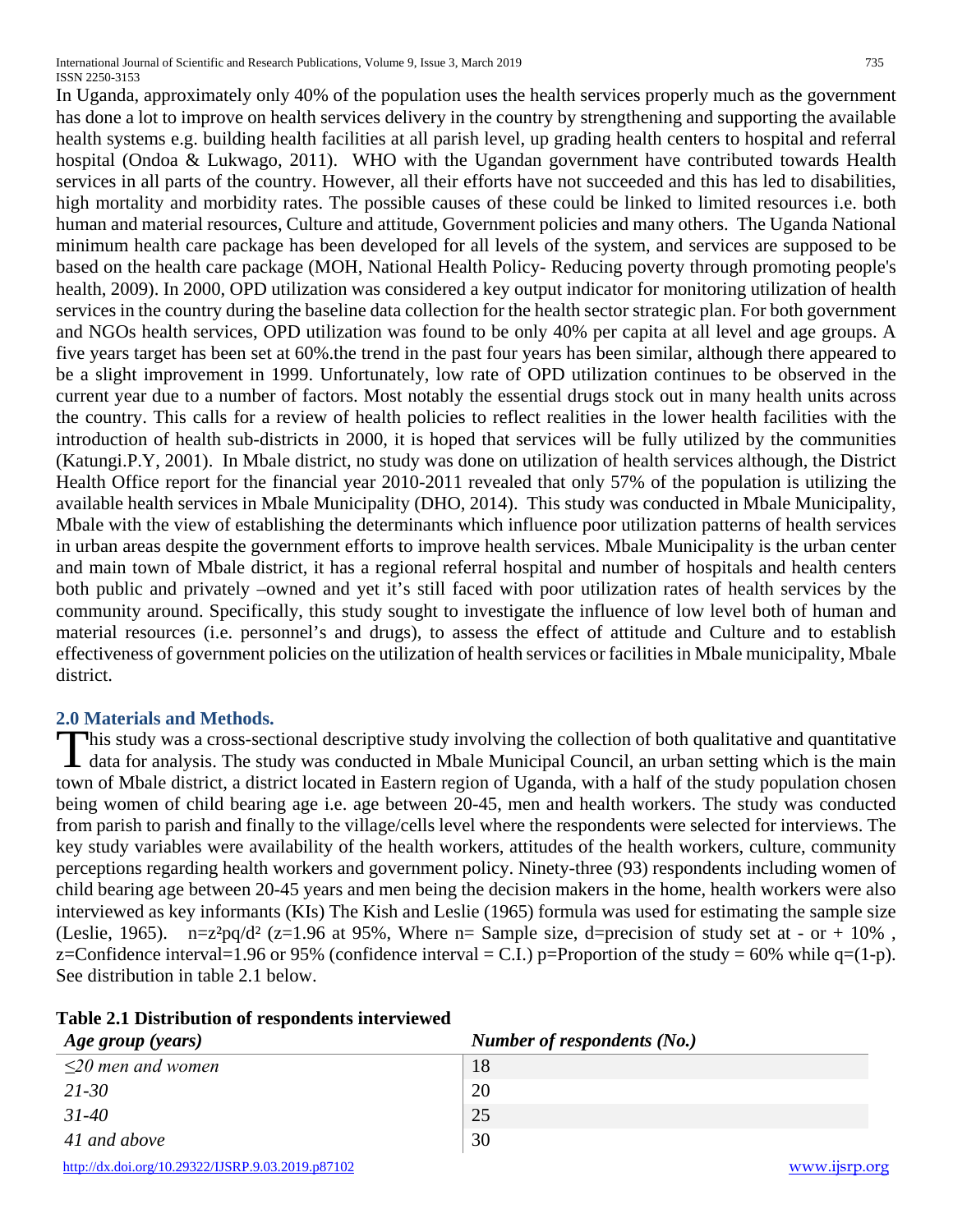In Uganda, approximately only 40% of the population uses the health services properly much as the government has done a lot to improve on health services delivery in the country by strengthening and supporting the available

health systems e.g. building health facilities at all parish level, up grading health centers to hospital and referral hospital (Ondoa & Lukwago, 2011). WHO with the Ugandan government have contributed towards Health services in all parts of the country. However, all their efforts have not succeeded and this has led to disabilities, high mortality and morbidity rates. The possible causes of these could be linked to limited resources i.e. both human and material resources, Culture and attitude, Government policies and many others. The Uganda National minimum health care package has been developed for all levels of the system, and services are supposed to be based on the health care package (MOH, National Health Policy- Reducing poverty through promoting people's health, 2009). In 2000, OPD utilization was considered a key output indicator for monitoring utilization of health services in the country during the baseline data collection for the health sector strategic plan. For both government and NGOs health services, OPD utilization was found to be only 40% per capita at all level and age groups. A five years target has been set at 60%.the trend in the past four years has been similar, although there appeared to be a slight improvement in 1999. Unfortunately, low rate of OPD utilization continues to be observed in the current year due to a number of factors. Most notably the essential drugs stock out in many health units across the country. This calls for a review of health policies to reflect realities in the lower health facilities with the introduction of health sub-districts in 2000, it is hoped that services will be fully utilized by the communities (Katungi.P.Y, 2001). In Mbale district, no study was done on utilization of health services although, the District Health Office report for the financial year 2010-2011 revealed that only 57% of the population is utilizing the available health services in Mbale Municipality (DHO, 2014). This study was conducted in Mbale Municipality, Mbale with the view of establishing the determinants which influence poor utilization patterns of health services in urban areas despite the government efforts to improve health services. Mbale Municipality is the urban center and main town of Mbale district, it has a regional referral hospital and number of hospitals and health centers both public and privately –owned and yet it's still faced with poor utilization rates of health services by the community around. Specifically, this study sought to investigate the influence of low level both of human and material resources (i.e. personnel's and drugs), to assess the effect of attitude and Culture and to establish effectiveness of government policies on the utilization of health services or facilities in Mbale municipality, Mbale district.

## **2.0 Materials and Methods.**

his study was a cross-sectional descriptive study involving the collection of both qualitative and quantitative This study was a cross-sectional descriptive study involving the collection of both qualitative and quantitative data for analysis. The study was conducted in Mbale Municipal Council, an urban setting which is the main town of Mbale district, a district located in Eastern region of Uganda, with a half of the study population chosen being women of child bearing age i.e. age between 20-45, men and health workers. The study was conducted from parish to parish and finally to the village/cells level where the respondents were selected for interviews. The key study variables were availability of the health workers, attitudes of the health workers, culture, community perceptions regarding health workers and government policy. Ninety-three (93) respondents including women of child bearing age between 20-45 years and men being the decision makers in the home, health workers were also interviewed as key informants (KIs) The Kish and Leslie (1965) formula was used for estimating the sample size (Leslie, 1965).  $n=z^2pq/d^2$  (z=1.96 at 95%, Where n= Sample size, d=precision of study set at - or + 10%, z=Confidence interval=1.96 or 95% (confidence interval = C.I.) p=Proportion of the study = 60% while q=(1-p). See distribution in table 2.1 below.

| Age group (years)                                 | Number of respondents (No.) |               |
|---------------------------------------------------|-----------------------------|---------------|
| $\leq$ 20 men and women                           | 18                          |               |
| $21 - 30$                                         | 20                          |               |
| $31 - 40$                                         | 25                          |               |
| 41 and above                                      | 30                          |               |
| http://dx.doi.org/10.29322/IJSRP.9.03.2019.p87102 |                             | www.ijsrp.org |

## **Table 2.1 Distribution of respondents interviewed**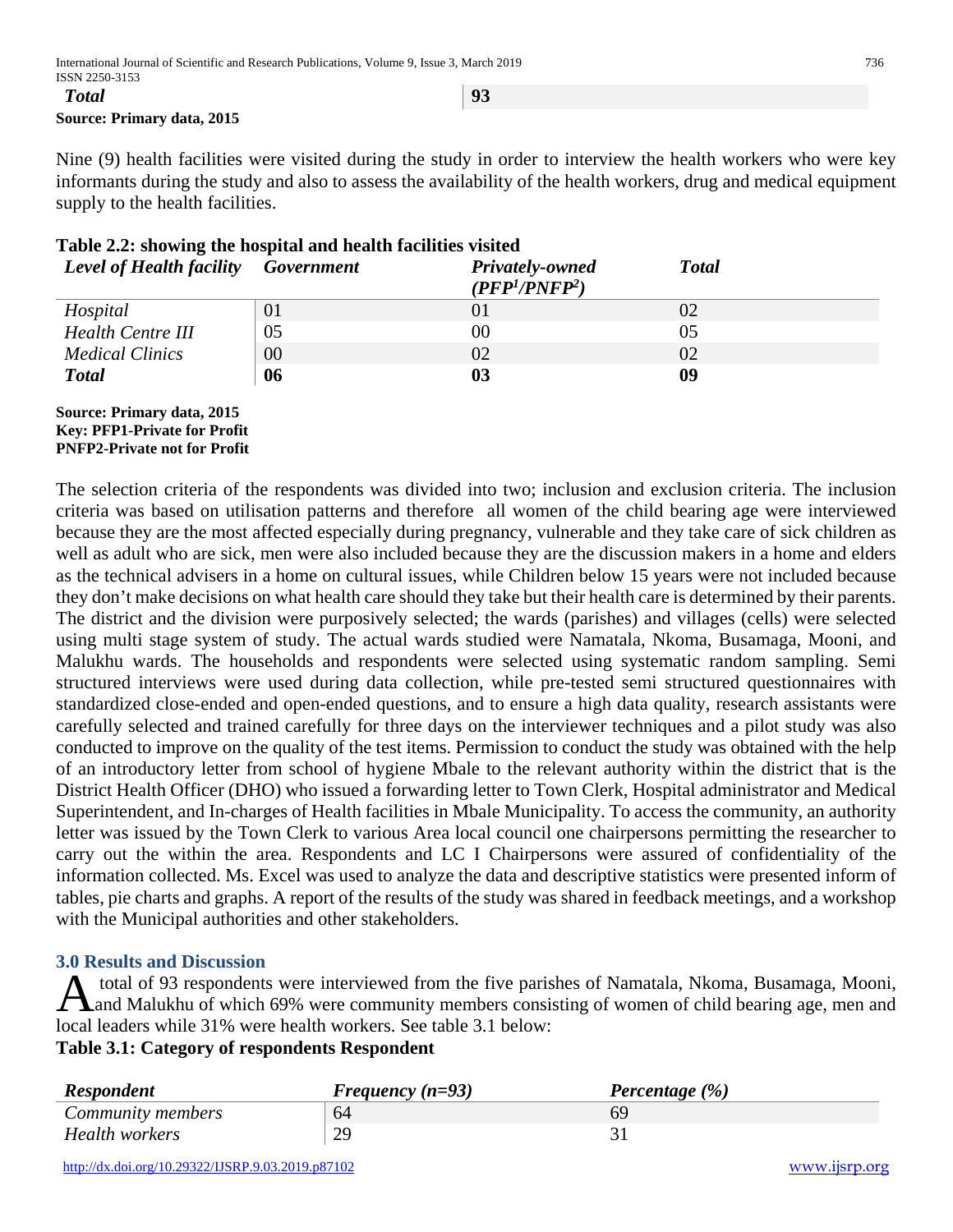**Source: Primary data, 2015** 

Nine (9) health facilities were visited during the study in order to interview the health workers who were key informants during the study and also to assess the availability of the health workers, drug and medical equipment supply to the health facilities.

| Table 2.2. Showing the hospital and health facilities visited |    |                                                           |               |
|---------------------------------------------------------------|----|-----------------------------------------------------------|---------------|
| <b>Level of Health facility</b> Government                    |    | Privately-owned<br>(PFP <sup>1</sup> /PNFP <sup>2</sup> ) | <b>T</b> otal |
| Hospital                                                      | 01 | $\Omega$                                                  |               |
| <b>Health Centre III</b>                                      | 05 | 00                                                        | 05            |
| <b>Medical Clinics</b>                                        | 00 | 02                                                        | 02            |
| <b>Total</b>                                                  | 06 | 03                                                        | 09            |

## **Table 2.2: showing the hospital and health facilities visited**

#### **Source: Primary data, 2015 Key: PFP1-Private for Profit PNFP2-Private not for Profit**

The selection criteria of the respondents was divided into two; inclusion and exclusion criteria. The inclusion criteria was based on utilisation patterns and therefore all women of the child bearing age were interviewed because they are the most affected especially during pregnancy, vulnerable and they take care of sick children as well as adult who are sick, men were also included because they are the discussion makers in a home and elders as the technical advisers in a home on cultural issues, while Children below 15 years were not included because they don't make decisions on what health care should they take but their health care is determined by their parents. The district and the division were purposively selected; the wards (parishes) and villages (cells) were selected using multi stage system of study. The actual wards studied were Namatala, Nkoma, Busamaga, Mooni, and Malukhu wards. The households and respondents were selected using systematic random sampling. Semi structured interviews were used during data collection, while pre-tested semi structured questionnaires with standardized close-ended and open-ended questions, and to ensure a high data quality, research assistants were carefully selected and trained carefully for three days on the interviewer techniques and a pilot study was also conducted to improve on the quality of the test items. Permission to conduct the study was obtained with the help of an introductory letter from school of hygiene Mbale to the relevant authority within the district that is the District Health Officer (DHO) who issued a forwarding letter to Town Clerk, Hospital administrator and Medical Superintendent, and In-charges of Health facilities in Mbale Municipality. To access the community, an authority letter was issued by the Town Clerk to various Area local council one chairpersons permitting the researcher to carry out the within the area. Respondents and LC I Chairpersons were assured of confidentiality of the information collected. Ms. Excel was used to analyze the data and descriptive statistics were presented inform of tables, pie charts and graphs. A report of the results of the study was shared in feedback meetings, and a workshop with the Municipal authorities and other stakeholders.

## **3.0 Results and Discussion**

total of 93 respondents were interviewed from the five parishes of Namatala, Nkoma, Busamaga, Mooni, A total of 93 respondents were interviewed from the five parishes of Namatala, Nkoma, Busamaga, Mooni,<br>and Malukhu of which 69% were community members consisting of women of child bearing age, men and local leaders while 31% were health workers. See table 3.1 below:

## **Table 3.1: Category of respondents Respondent**

| <b>Respondent</b> | Frequency $(n=93)$ | Percentage (%) |
|-------------------|--------------------|----------------|
| Community members | 64                 | 69             |
| Health workers    | 29                 |                |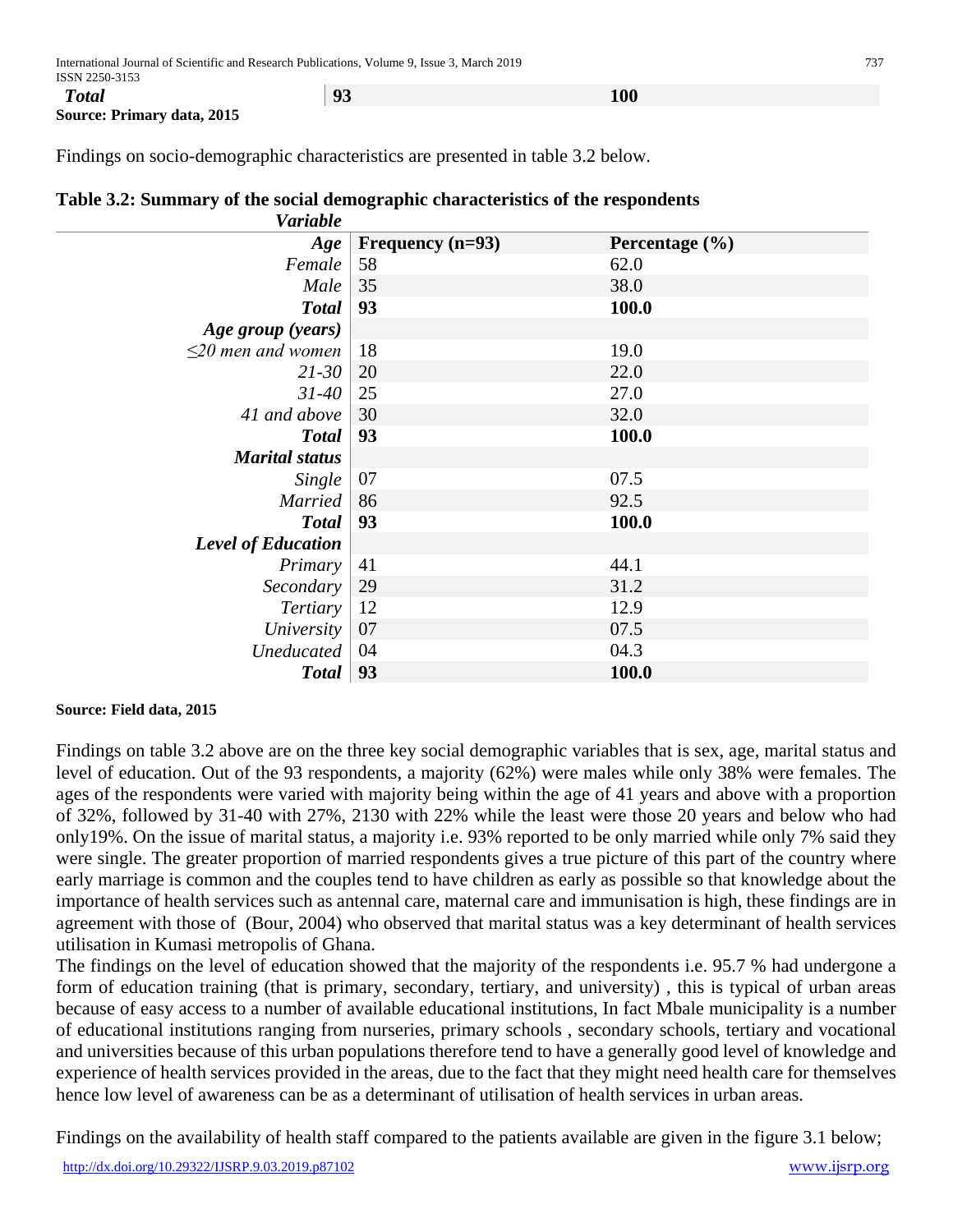**Source: Primary data, 2015** 

Findings on socio-demographic characteristics are presented in table 3.2 below.

| <b>Variable</b>           |                    |                    |
|---------------------------|--------------------|--------------------|
| Age                       | Frequency $(n=93)$ | Percentage $(\% )$ |
| Female                    | 58                 | 62.0               |
| Male                      | 35                 | 38.0               |
| <b>Total</b>              | 93                 | 100.0              |
| Age group (years)         |                    |                    |
| $\leq$ 20 men and women   | 18                 | 19.0               |
| $21 - 30$                 | 20                 | 22.0               |
| $31 - 40$                 | 25                 | 27.0               |
| 41 and above              | 30                 | 32.0               |
| <b>Total</b>              | 93                 | 100.0              |
| <b>Marital status</b>     |                    |                    |
| Single                    | 07                 | 07.5               |
| <b>Married</b>            | 86                 | 92.5               |
| <b>Total</b>              | 93                 | 100.0              |
| <b>Level of Education</b> |                    |                    |
| Primary                   | 41                 | 44.1               |
| Secondary                 | 29                 | 31.2               |
| Tertiary                  | 12                 | 12.9               |
| University                | 07                 | 07.5               |
| Uneducated                | 04                 | 04.3               |
| <b>Total</b>              | 93                 | 100.0              |

## **Table 3.2: Summary of the social demographic characteristics of the respondents**

#### **Source: Field data, 2015**

Findings on table 3.2 above are on the three key social demographic variables that is sex, age, marital status and level of education. Out of the 93 respondents, a majority (62%) were males while only 38% were females. The ages of the respondents were varied with majority being within the age of 41 years and above with a proportion of 32%, followed by 31-40 with 27%, 2130 with 22% while the least were those 20 years and below who had only19%. On the issue of marital status, a majority i.e. 93% reported to be only married while only 7% said they were single. The greater proportion of married respondents gives a true picture of this part of the country where early marriage is common and the couples tend to have children as early as possible so that knowledge about the importance of health services such as antennal care, maternal care and immunisation is high, these findings are in agreement with those of (Bour, 2004) who observed that marital status was a key determinant of health services utilisation in Kumasi metropolis of Ghana.

The findings on the level of education showed that the majority of the respondents i.e. 95.7 % had undergone a form of education training (that is primary, secondary, tertiary, and university) , this is typical of urban areas because of easy access to a number of available educational institutions, In fact Mbale municipality is a number of educational institutions ranging from nurseries, primary schools , secondary schools, tertiary and vocational and universities because of this urban populations therefore tend to have a generally good level of knowledge and experience of health services provided in the areas, due to the fact that they might need health care for themselves hence low level of awareness can be as a determinant of utilisation of health services in urban areas.

Findings on the availability of health staff compared to the patients available are given in the figure 3.1 below;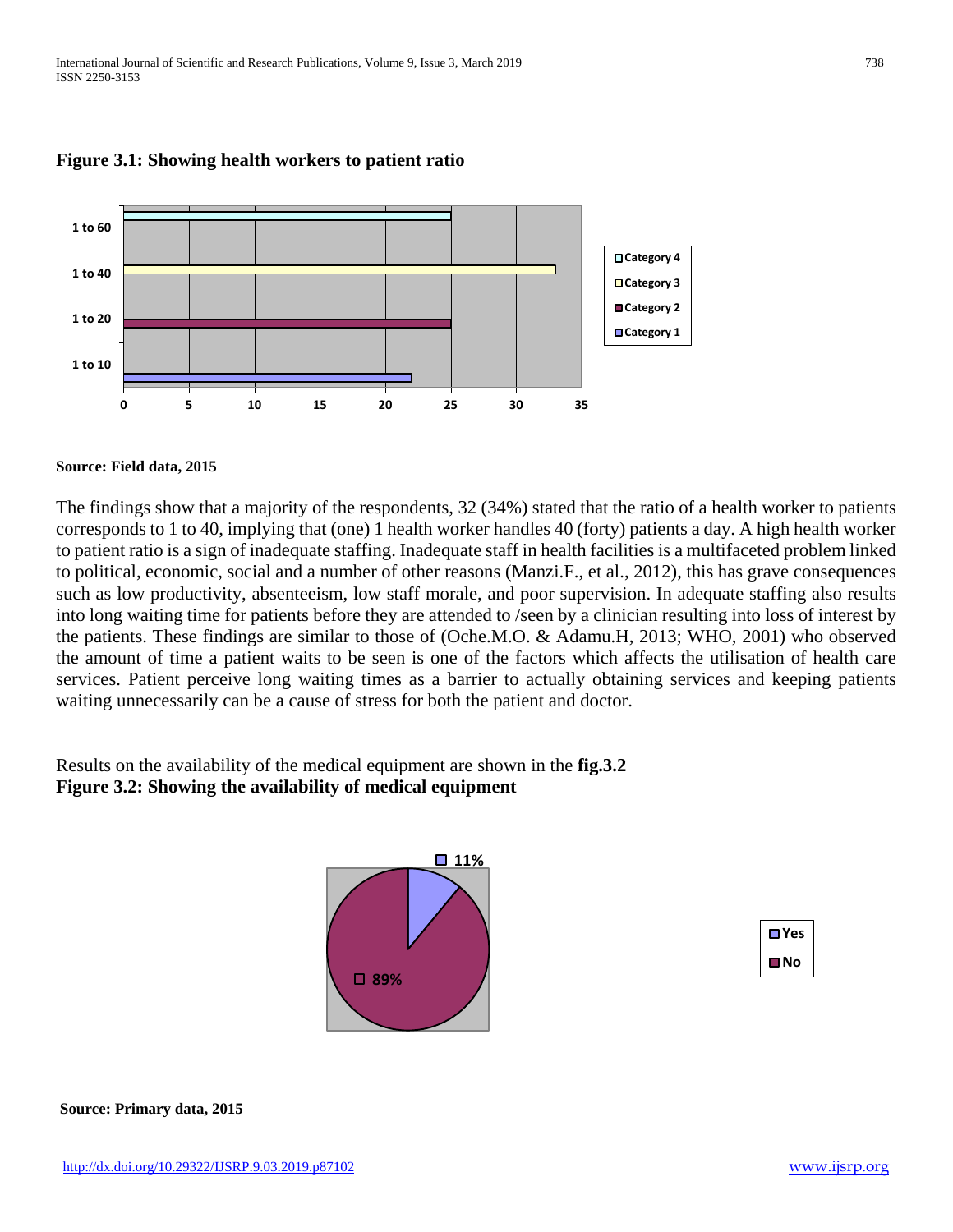

## **Figure 3.1: Showing health workers to patient ratio**

#### **Source: Field data, 2015**

The findings show that a majority of the respondents, 32 (34%) stated that the ratio of a health worker to patients corresponds to 1 to 40, implying that (one) 1 health worker handles 40 (forty) patients a day. A high health worker to patient ratio is a sign of inadequate staffing. Inadequate staff in health facilities is a multifaceted problem linked to political, economic, social and a number of other reasons (Manzi.F., et al., 2012), this has grave consequences such as low productivity, absenteeism, low staff morale, and poor supervision. In adequate staffing also results into long waiting time for patients before they are attended to /seen by a clinician resulting into loss of interest by the patients. These findings are similar to those of (Oche.M.O. & Adamu.H, 2013; WHO, 2001) who observed the amount of time a patient waits to be seen is one of the factors which affects the utilisation of health care services. Patient perceive long waiting times as a barrier to actually obtaining services and keeping patients waiting unnecessarily can be a cause of stress for both the patient and doctor.

Results on the availability of the medical equipment are shown in the **fig.3.2 Figure 3.2: Showing the availability of medical equipment** 



| ∏ Yes |  |
|-------|--|
| ll No |  |

**Source: Primary data, 2015**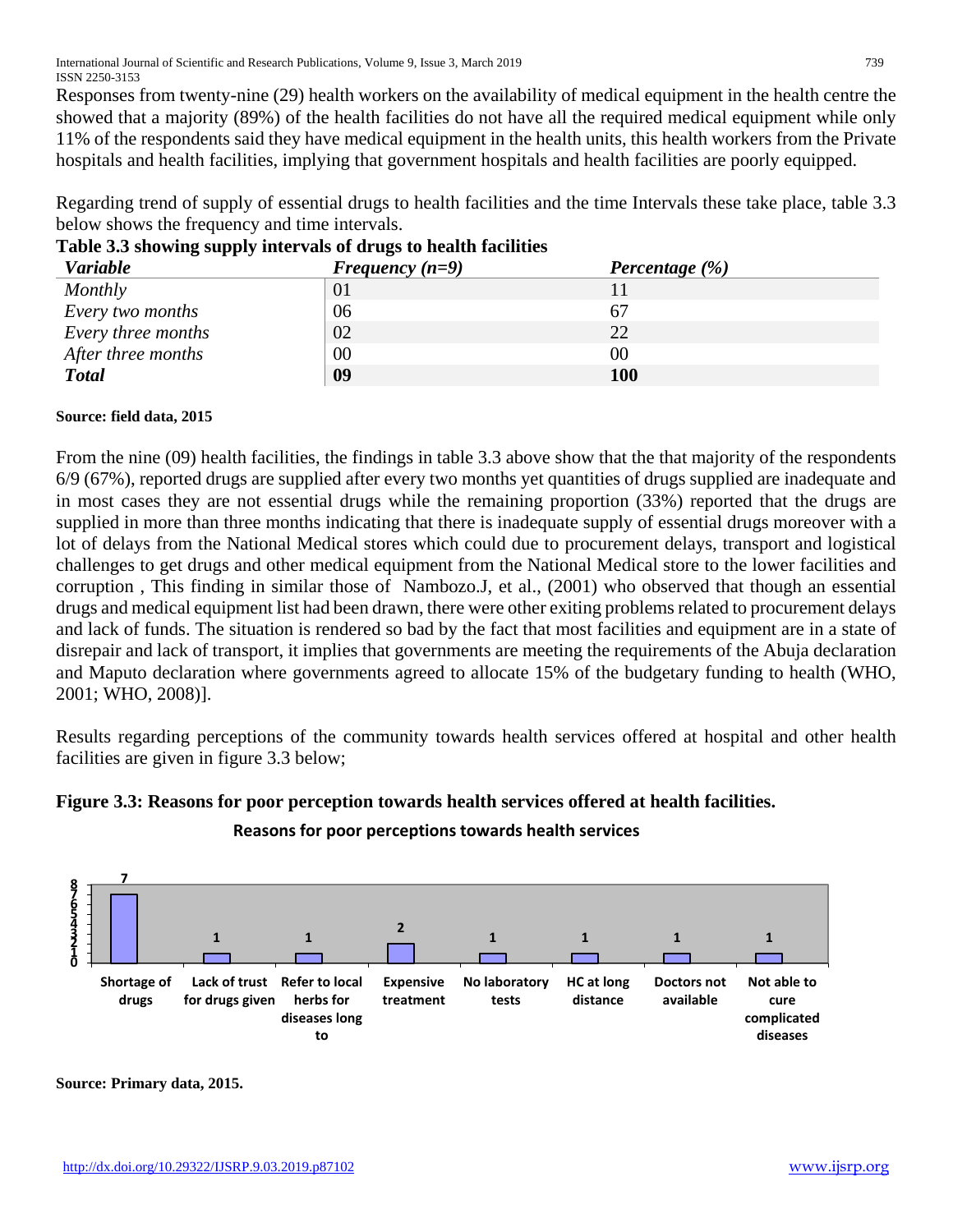Responses from twenty-nine (29) health workers on the availability of medical equipment in the health centre the showed that a majority (89%) of the health facilities do not have all the required medical equipment while only 11% of the respondents said they have medical equipment in the health units, this health workers from the Private hospitals and health facilities, implying that government hospitals and health facilities are poorly equipped.

Regarding trend of supply of essential drugs to health facilities and the time Intervals these take place, table 3.3 below shows the frequency and time intervals.

| .<br><b>Variable</b> | Frequency $(n=9)$ | Percentage $(\% )$ |
|----------------------|-------------------|--------------------|
| Monthly              | 01                |                    |
| Every two months     | 06                | 67                 |
| Every three months   | 02                | 22                 |
| After three months   | 00                | 00                 |
| <b>Total</b>         | 09                | <b>100</b>         |

## **Table 3.3 showing supply intervals of drugs to health facilities**

## **Source: field data, 2015**

From the nine (09) health facilities, the findings in table 3.3 above show that the that majority of the respondents 6/9 (67%), reported drugs are supplied after every two months yet quantities of drugs supplied are inadequate and in most cases they are not essential drugs while the remaining proportion (33%) reported that the drugs are supplied in more than three months indicating that there is inadequate supply of essential drugs moreover with a lot of delays from the National Medical stores which could due to procurement delays, transport and logistical challenges to get drugs and other medical equipment from the National Medical store to the lower facilities and corruption , This finding in similar those of Nambozo.J, et al., (2001) who observed that though an essential drugs and medical equipment list had been drawn, there were other exiting problems related to procurement delays and lack of funds. The situation is rendered so bad by the fact that most facilities and equipment are in a state of disrepair and lack of transport, it implies that governments are meeting the requirements of the Abuja declaration and Maputo declaration where governments agreed to allocate 15% of the budgetary funding to health (WHO, 2001; WHO, 2008)].

Results regarding perceptions of the community towards health services offered at hospital and other health facilities are given in figure 3.3 below;





## **Reasons for poor perceptions towards health services**

**Source: Primary data, 2015.**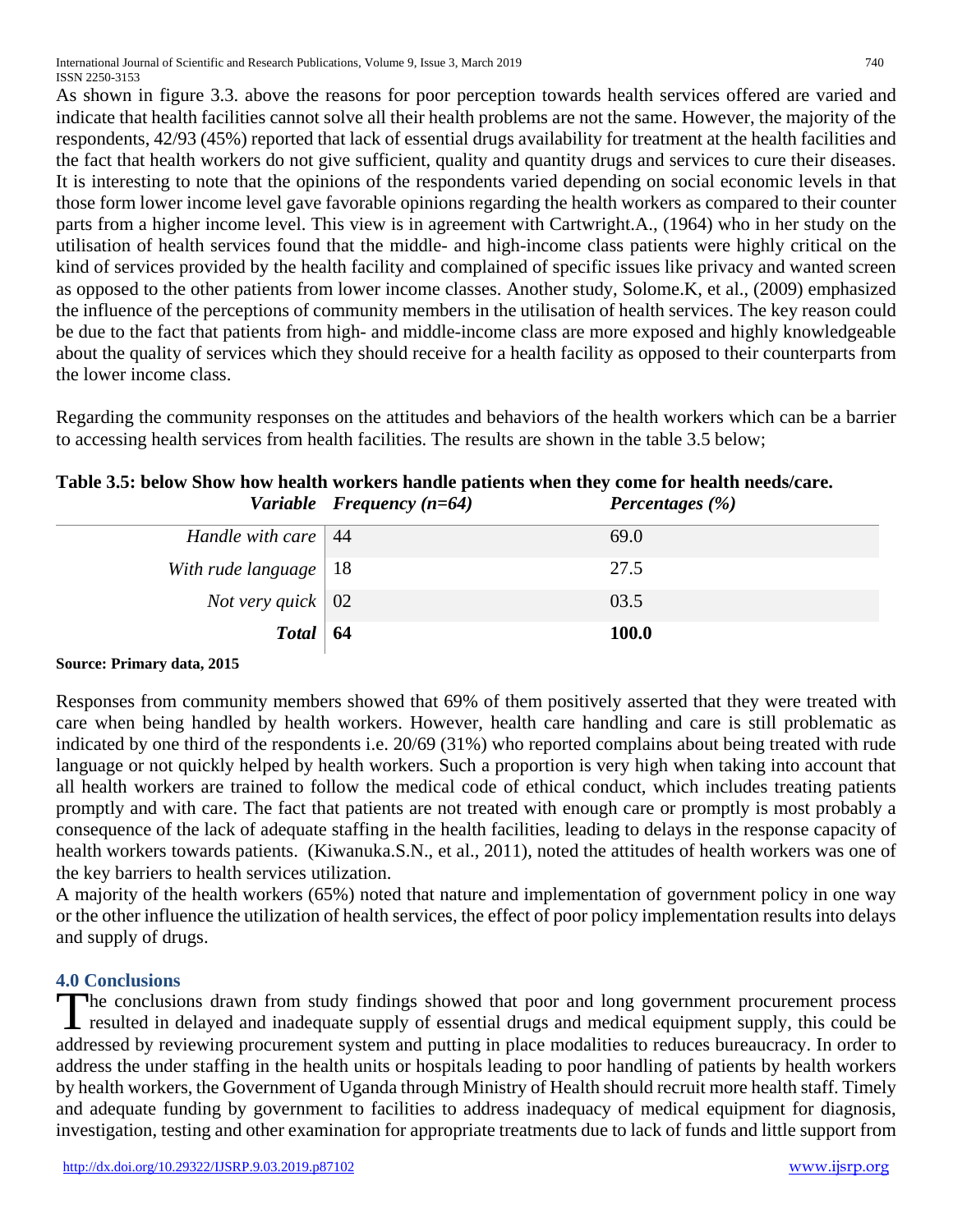International Journal of Scientific and Research Publications, Volume 9, Issue 3, March 2019 740 ISSN 2250-3153

As shown in figure 3.3. above the reasons for poor perception towards health services offered are varied and indicate that health facilities cannot solve all their health problems are not the same. However, the majority of the respondents, 42/93 (45%) reported that lack of essential drugs availability for treatment at the health facilities and the fact that health workers do not give sufficient, quality and quantity drugs and services to cure their diseases. It is interesting to note that the opinions of the respondents varied depending on social economic levels in that those form lower income level gave favorable opinions regarding the health workers as compared to their counter parts from a higher income level. This view is in agreement with Cartwright.A., (1964) who in her study on the utilisation of health services found that the middle- and high-income class patients were highly critical on the kind of services provided by the health facility and complained of specific issues like privacy and wanted screen as opposed to the other patients from lower income classes. Another study, Solome.K, et al., (2009) emphasized the influence of the perceptions of community members in the utilisation of health services. The key reason could be due to the fact that patients from high- and middle-income class are more exposed and highly knowledgeable about the quality of services which they should receive for a health facility as opposed to their counterparts from the lower income class.

Regarding the community responses on the attitudes and behaviors of the health workers which can be a barrier to accessing health services from health facilities. The results are shown in the table 3.5 below;

|                             | Table 3.5: below Show how health workers handle patients when they come for health needs/care. |
|-----------------------------|------------------------------------------------------------------------------------------------|
| Variable Frequency $(n=64)$ | Percentages $(\% )$                                                                            |

|                            | $\sim$       |
|----------------------------|--------------|
| Handle with care   44      | 69.0         |
| With rude language $ 18 $  | 27.5         |
| <i>Not very quick</i>   02 | 03.5         |
| $Total \mid 64$            | <b>100.0</b> |
|                            |              |

#### **Source: Primary data, 2015**

Responses from community members showed that 69% of them positively asserted that they were treated with care when being handled by health workers. However, health care handling and care is still problematic as indicated by one third of the respondents i.e. 20/69 (31%) who reported complains about being treated with rude language or not quickly helped by health workers. Such a proportion is very high when taking into account that all health workers are trained to follow the medical code of ethical conduct, which includes treating patients promptly and with care. The fact that patients are not treated with enough care or promptly is most probably a consequence of the lack of adequate staffing in the health facilities, leading to delays in the response capacity of health workers towards patients. (Kiwanuka.S.N., et al., 2011), noted the attitudes of health workers was one of the key barriers to health services utilization.

A majority of the health workers (65%) noted that nature and implementation of government policy in one way or the other influence the utilization of health services, the effect of poor policy implementation results into delays and supply of drugs.

## **4.0 Conclusions**

The conclusions drawn from study findings showed that poor and long government procurement process The conclusions drawn from study findings showed that poor and long government procurement process resulted in delayed and inadequate supply of essential drugs and medical equipment supply, this could be addressed by reviewing procurement system and putting in place modalities to reduces bureaucracy. In order to address the under staffing in the health units or hospitals leading to poor handling of patients by health workers by health workers, the Government of Uganda through Ministry of Health should recruit more health staff. Timely and adequate funding by government to facilities to address inadequacy of medical equipment for diagnosis, investigation, testing and other examination for appropriate treatments due to lack of funds and little support from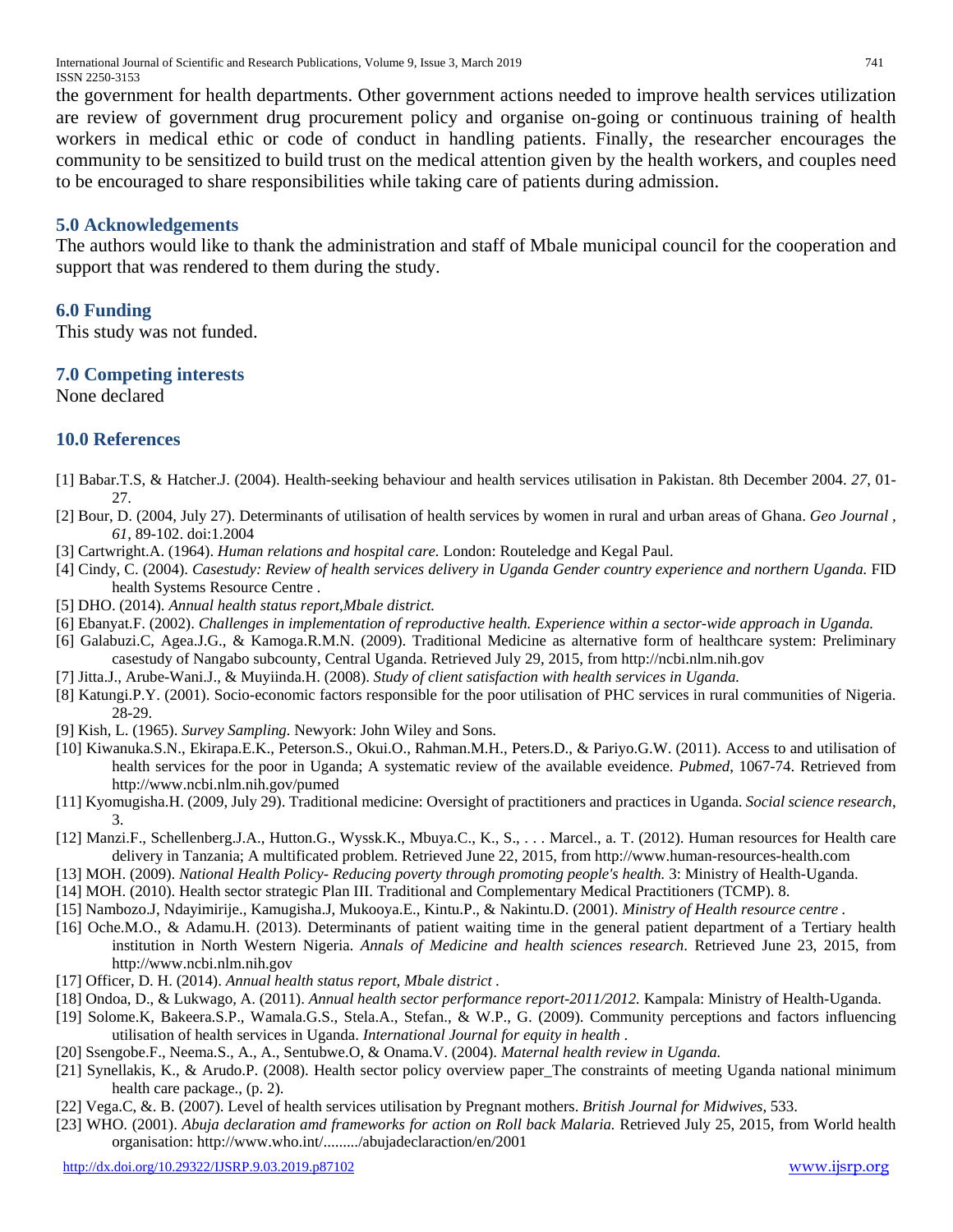International Journal of Scientific and Research Publications, Volume 9, Issue 3, March 2019 741 ISSN 2250-3153

the government for health departments. Other government actions needed to improve health services utilization are review of government drug procurement policy and organise on-going or continuous training of health workers in medical ethic or code of conduct in handling patients. Finally, the researcher encourages the community to be sensitized to build trust on the medical attention given by the health workers, and couples need to be encouraged to share responsibilities while taking care of patients during admission.

#### **5.0 Acknowledgements**

The authors would like to thank the administration and staff of Mbale municipal council for the cooperation and support that was rendered to them during the study.

## **6.0 Funding**

This study was not funded.

## **7.0 Competing interests**

None declared

## **10.0 References**

- [1] Babar.T.S, & Hatcher.J. (2004). Health-seeking behaviour and health services utilisation in Pakistan. 8th December 2004. *27*, 01- 27.
- [2] Bour, D. (2004, July 27). Determinants of utilisation of health services by women in rural and urban areas of Ghana. *Geo Journal , 61*, 89-102. doi:1.2004
- [3] Cartwright.A. (1964). *Human relations and hospital care.* London: Routeledge and Kegal Paul.
- [4] Cindy, C. (2004). *Casestudy: Review of health services delivery in Uganda Gender country experience and northern Uganda.* FID health Systems Resource Centre .
- [5] DHO. (2014). *Annual health status report,Mbale district.*
- [6] Ebanyat.F. (2002). *Challenges in implementation of reproductive health. Experience within a sector-wide approach in Uganda.*
- [6] Galabuzi.C, Agea.J.G., & Kamoga.R.M.N. (2009). Traditional Medicine as alternative form of healthcare system: Preliminary casestudy of Nangabo subcounty, Central Uganda. Retrieved July 29, 2015, from http://ncbi.nlm.nih.gov
- [7] Jitta.J., Arube-Wani.J., & Muyiinda.H. (2008). *Study of client satisfaction with health services in Uganda.*
- [8] Katungi.P.Y. (2001). Socio-economic factors responsible for the poor utilisation of PHC services in rural communities of Nigeria. 28-29.
- [9] Kish, L. (1965). *Survey Sampling.* Newyork: John Wiley and Sons.
- [10] Kiwanuka.S.N., Ekirapa.E.K., Peterson.S., Okui.O., Rahman.M.H., Peters.D., & Pariyo.G.W. (2011). Access to and utilisation of health services for the poor in Uganda; A systematic review of the available eveidence. *Pubmed*, 1067-74. Retrieved from http://www.ncbi.nlm.nih.gov/pumed
- [11] Kyomugisha.H. (2009, July 29). Traditional medicine: Oversight of practitioners and practices in Uganda. *Social science research*, 3.
- [12] Manzi.F., Schellenberg.J.A., Hutton.G., Wyssk.K., Mbuya.C., K., S., . . . Marcel., a. T. (2012). Human resources for Health care delivery in Tanzania; A multificated problem. Retrieved June 22, 2015, from http://www.human-resources-health.com
- [13] MOH. (2009). *National Health Policy- Reducing poverty through promoting people's health.* 3: Ministry of Health-Uganda.
- [14] MOH. (2010). Health sector strategic Plan III. Traditional and Complementary Medical Practitioners (TCMP). 8.
- [15] Nambozo.J, Ndayimirije., Kamugisha.J, Mukooya.E., Kintu.P., & Nakintu.D. (2001). *Ministry of Health resource centre .*
- [16] Oche.M.O., & Adamu.H. (2013). Determinants of patient waiting time in the general patient department of a Tertiary health institution in North Western Nigeria. *Annals of Medicine and health sciences research*. Retrieved June 23, 2015, from http://www.ncbi.nlm.nih.gov
- [17] Officer, D. H. (2014). *Annual health status report, Mbale district .*
- [18] Ondoa, D., & Lukwago, A. (2011). *Annual health sector performance report-2011/2012.* Kampala: Ministry of Health-Uganda.
- [19] Solome.K, Bakeera.S.P., Wamala.G.S., Stela.A., Stefan., & W.P., G. (2009). Community perceptions and factors influencing utilisation of health services in Uganda. *International Journal for equity in health* .
- [20] Ssengobe.F., Neema.S., A., A., Sentubwe.O, & Onama.V. (2004). *Maternal health review in Uganda.*
- [21] Synellakis, K., & Arudo.P. (2008). Health sector policy overview paper\_The constraints of meeting Uganda national minimum health care package., (p. 2).
- [22] Vega.C, &. B. (2007). Level of health services utilisation by Pregnant mothers. *British Journal for Midwives*, 533.
- [23] WHO. (2001). *Abuja declaration amd frameworks for action on Roll back Malaria.* Retrieved July 25, 2015, from World health organisation: http://www.who.int/........./abujadeclaraction/en/2001